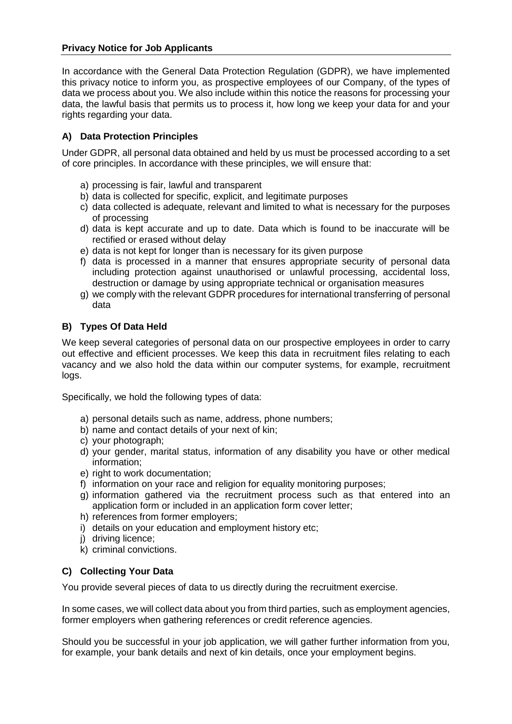## **Privacy Notice for Job Applicants**

In accordance with the General Data Protection Regulation (GDPR), we have implemented this privacy notice to inform you, as prospective employees of our Company, of the types of data we process about you. We also include within this notice the reasons for processing your data, the lawful basis that permits us to process it, how long we keep your data for and your rights regarding your data.

# **A) Data Protection Principles**

Under GDPR, all personal data obtained and held by us must be processed according to a set of core principles. In accordance with these principles, we will ensure that:

- a) processing is fair, lawful and transparent
- b) data is collected for specific, explicit, and legitimate purposes
- c) data collected is adequate, relevant and limited to what is necessary for the purposes of processing
- d) data is kept accurate and up to date. Data which is found to be inaccurate will be rectified or erased without delay
- e) data is not kept for longer than is necessary for its given purpose
- f) data is processed in a manner that ensures appropriate security of personal data including protection against unauthorised or unlawful processing, accidental loss, destruction or damage by using appropriate technical or organisation measures
- g) we comply with the relevant GDPR procedures for international transferring of personal data

## **B) Types Of Data Held**

We keep several categories of personal data on our prospective employees in order to carry out effective and efficient processes. We keep this data in recruitment files relating to each vacancy and we also hold the data within our computer systems, for example, recruitment logs.

Specifically, we hold the following types of data:

- a) personal details such as name, address, phone numbers;
- b) name and contact details of your next of kin;
- c) your photograph;
- d) your gender, marital status, information of any disability you have or other medical information;
- e) right to work documentation;
- f) information on your race and religion for equality monitoring purposes;
- g) information gathered via the recruitment process such as that entered into an application form or included in an application form cover letter;
- h) references from former employers;
- i) details on your education and employment history etc;
- j) driving licence;
- k) criminal convictions.

### **C) Collecting Your Data**

You provide several pieces of data to us directly during the recruitment exercise.

In some cases, we will collect data about you from third parties, such as employment agencies, former employers when gathering references or credit reference agencies.

Should you be successful in your job application, we will gather further information from you, for example, your bank details and next of kin details, once your employment begins.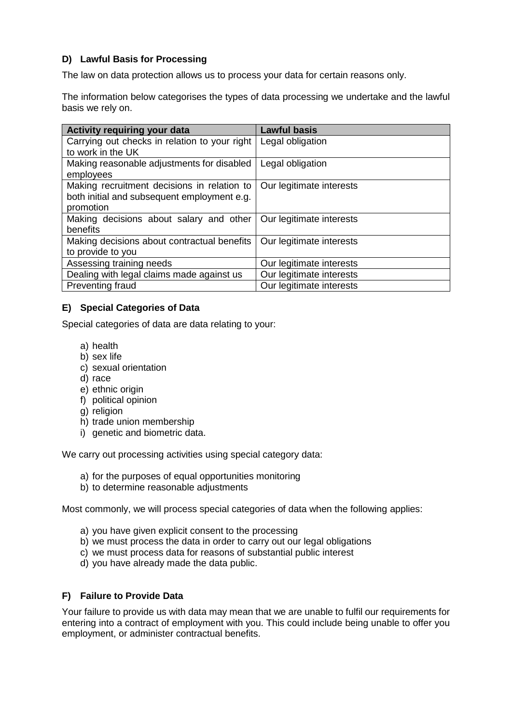## **D) Lawful Basis for Processing**

The law on data protection allows us to process your data for certain reasons only.

The information below categorises the types of data processing we undertake and the lawful basis we rely on.

| <b>Activity requiring your data</b>           | <b>Lawful basis</b>      |
|-----------------------------------------------|--------------------------|
| Carrying out checks in relation to your right | Legal obligation         |
| to work in the UK                             |                          |
| Making reasonable adjustments for disabled    | Legal obligation         |
| employees                                     |                          |
| Making recruitment decisions in relation to   | Our legitimate interests |
| both initial and subsequent employment e.g.   |                          |
| promotion                                     |                          |
| Making decisions about salary and other       | Our legitimate interests |
| benefits                                      |                          |
| Making decisions about contractual benefits   | Our legitimate interests |
| to provide to you                             |                          |
| Assessing training needs                      | Our legitimate interests |
| Dealing with legal claims made against us     | Our legitimate interests |
| Preventing fraud                              | Our legitimate interests |

## **E) Special Categories of Data**

Special categories of data are data relating to your:

- a) health
- b) sex life
- c) sexual orientation
- d) race
- e) ethnic origin
- f) political opinion
- g) religion
- h) trade union membership
- i) genetic and biometric data.

We carry out processing activities using special category data:

- a) for the purposes of equal opportunities monitoring
- b) to determine reasonable adjustments

Most commonly, we will process special categories of data when the following applies:

- a) you have given explicit consent to the processing
- b) we must process the data in order to carry out our legal obligations
- c) we must process data for reasons of substantial public interest
- d) you have already made the data public.

### **F) Failure to Provide Data**

Your failure to provide us with data may mean that we are unable to fulfil our requirements for entering into a contract of employment with you. This could include being unable to offer you employment, or administer contractual benefits.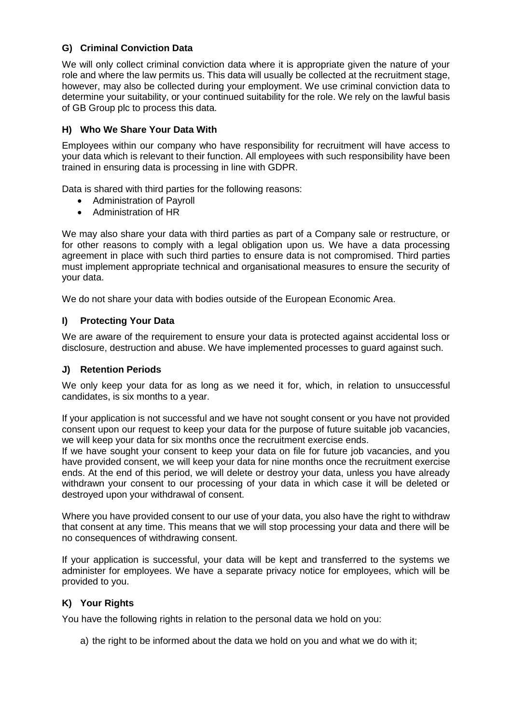## **G) Criminal Conviction Data**

We will only collect criminal conviction data where it is appropriate given the nature of your role and where the law permits us. This data will usually be collected at the recruitment stage, however, may also be collected during your employment. We use criminal conviction data to determine your suitability, or your continued suitability for the role. We rely on the lawful basis of GB Group plc to process this data.

### **H) Who We Share Your Data With**

Employees within our company who have responsibility for recruitment will have access to your data which is relevant to their function. All employees with such responsibility have been trained in ensuring data is processing in line with GDPR.

Data is shared with third parties for the following reasons:

- Administration of Payroll
- Administration of HR

We may also share your data with third parties as part of a Company sale or restructure, or for other reasons to comply with a legal obligation upon us. We have a data processing agreement in place with such third parties to ensure data is not compromised. Third parties must implement appropriate technical and organisational measures to ensure the security of your data.

We do not share your data with bodies outside of the European Economic Area.

### **I) Protecting Your Data**

We are aware of the requirement to ensure your data is protected against accidental loss or disclosure, destruction and abuse. We have implemented processes to guard against such.

### **J) Retention Periods**

We only keep your data for as long as we need it for, which, in relation to unsuccessful candidates, is six months to a year.

If your application is not successful and we have not sought consent or you have not provided consent upon our request to keep your data for the purpose of future suitable job vacancies, we will keep your data for six months once the recruitment exercise ends.

If we have sought your consent to keep your data on file for future job vacancies, and you have provided consent, we will keep your data for nine months once the recruitment exercise ends. At the end of this period, we will delete or destroy your data, unless you have already withdrawn your consent to our processing of your data in which case it will be deleted or destroyed upon your withdrawal of consent.

Where you have provided consent to our use of your data, you also have the right to withdraw that consent at any time. This means that we will stop processing your data and there will be no consequences of withdrawing consent.

If your application is successful, your data will be kept and transferred to the systems we administer for employees. We have a separate privacy notice for employees, which will be provided to you.

### **K) Your Rights**

You have the following rights in relation to the personal data we hold on you:

a) the right to be informed about the data we hold on you and what we do with it;